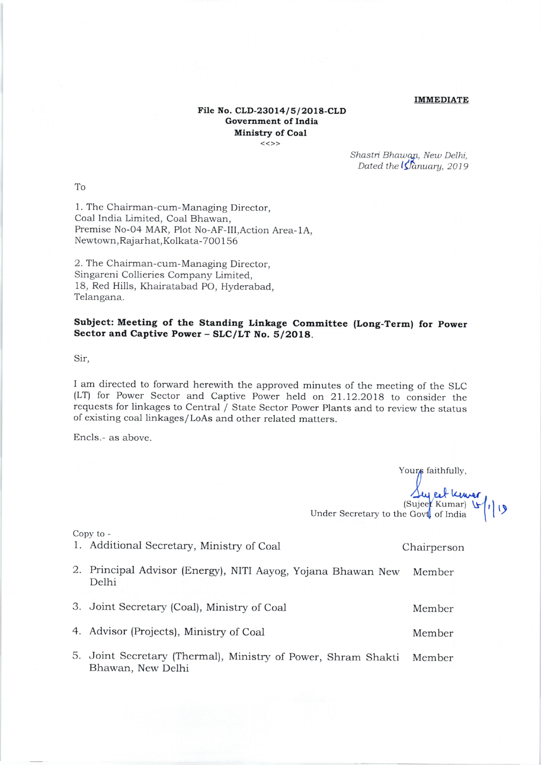## IMMEDIATE

## File No. CLD-23014/5/2018-CLD Government of India Ministry of Coal  $<<$ >>

Shastri Bhawan, New Delhi, Dated the  $\sqrt{\hat{S}}$ anuary, 2019

IO

1. The Chairman-cum-Managing Director, Coal India Limited, Coal Bhawan, Premise No-O4 MAR, Plot No-AF-III,Action Area-1A, Newtown, Rajarhat, Kolkata-700156

2. The Chairman-cum-Managing Director, Singareni Collieries Company Limited, 18, Red Hills, Khairatabad PO, Hyderabad, Telangana.

## Subject: Meeting of the Standing Linkage Committee (Long-Term) for Power Sector and Captive Power - SLC/LT No. 5/2O18.

Sir,

I am directed to forward herewith the approved minutes of the meeting of the SLC (LT) for Power Sector and Captive Power held on 21.12.2018 to consider the requests for linkages to Central / State Sector Power Plants and to review the status of existing coal linkages/LoAs and other related matters.

Encls.- as above.

Your<sub>s</sub> faithfully, Sey cet kneer,

(Sujee<sup>t</sup> Kumar) \\ t | ۱ | Under Secretary to the Govt of India

Copy to -

- 1. Additional Secretary, Ministry of Coal
- 2. Principal Advisor (Energy), NITI Aayog, Yojana Bhawan New Delhi New Member

3. Joint Secretary (Coal), Ministry of Coal Member

4. Advisor (Projects), Ministry of Coal and Member

5. Joint Secretary (Thermal), Ministry of Power, Shram Shakti Member Bhawan, New Delhi

Chairperson